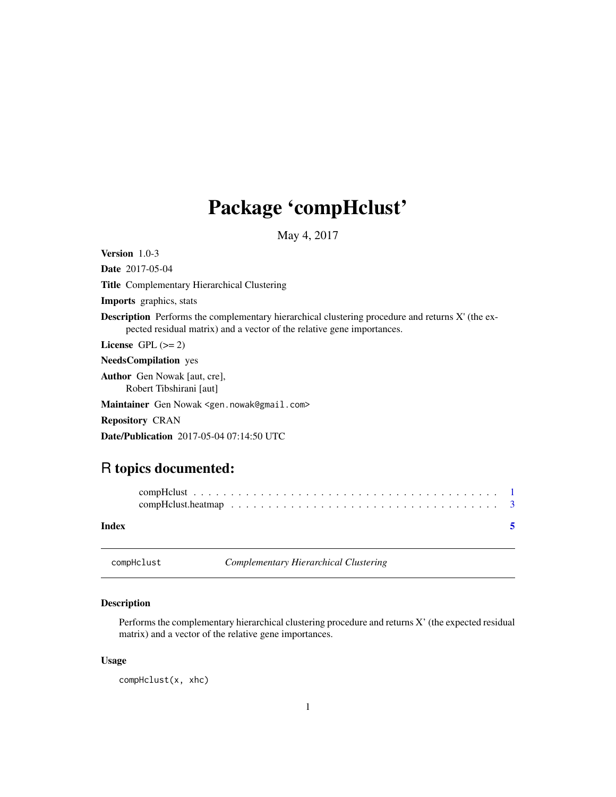## <span id="page-0-0"></span>Package 'compHclust'

May 4, 2017

<span id="page-0-1"></span>Version 1.0-3 Date 2017-05-04 Title Complementary Hierarchical Clustering Imports graphics, stats Description Performs the complementary hierarchical clustering procedure and returns X' (the expected residual matrix) and a vector of the relative gene importances. License GPL  $(>= 2)$ NeedsCompilation yes Author Gen Nowak [aut, cre], Robert Tibshirani [aut] Maintainer Gen Nowak <gen.nowak@gmail.com> Repository CRAN Date/Publication 2017-05-04 07:14:50 UTC

### R topics documented:

| Index |  |  |  |  |  |  |  |  |  |  |  |  |  |  |  |  |
|-------|--|--|--|--|--|--|--|--|--|--|--|--|--|--|--|--|

<span id="page-0-2"></span>compHclust *Complementary Hierarchical Clustering*

#### Description

Performs the complementary hierarchical clustering procedure and returns X' (the expected residual matrix) and a vector of the relative gene importances.

#### Usage

compHclust(x, xhc)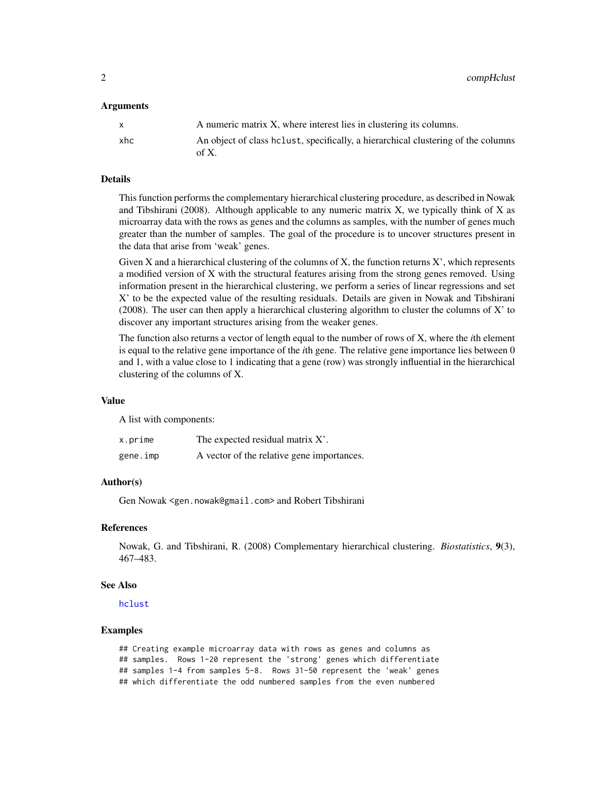<span id="page-1-0"></span>2 compHclust

#### **Arguments**

|     | A numeric matrix X, where interest lies in clustering its columns.                            |
|-----|-----------------------------------------------------------------------------------------------|
| xhc | An object of class helust, specifically, a hierarchical clustering of the columns<br>of $X$ . |

#### Details

This function performs the complementary hierarchical clustering procedure, as described in Nowak and Tibshirani (2008). Although applicable to any numeric matrix  $X$ , we typically think of  $X$  as microarray data with the rows as genes and the columns as samples, with the number of genes much greater than the number of samples. The goal of the procedure is to uncover structures present in the data that arise from 'weak' genes.

Given X and a hierarchical clustering of the columns of X, the function returns  $X'$ , which represents a modified version of X with the structural features arising from the strong genes removed. Using information present in the hierarchical clustering, we perform a series of linear regressions and set X' to be the expected value of the resulting residuals. Details are given in Nowak and Tibshirani  $(2008)$ . The user can then apply a hierarchical clustering algorithm to cluster the columns of X' to discover any important structures arising from the weaker genes.

The function also returns a vector of length equal to the number of rows of X, where the *i*th element is equal to the relative gene importance of the *i*th gene. The relative gene importance lies between 0 and 1, with a value close to 1 indicating that a gene (row) was strongly influential in the hierarchical clustering of the columns of X.

#### Value

A list with components:

| x.prime  | The expected residual matrix X'.           |
|----------|--------------------------------------------|
| gene.imp | A vector of the relative gene importances. |

#### Author(s)

Gen Nowak <gen.nowak@gmail.com> and Robert Tibshirani

#### References

Nowak, G. and Tibshirani, R. (2008) Complementary hierarchical clustering. *Biostatistics*, 9(3), 467–483.

#### See Also

[hclust](#page-0-1)

#### Examples

## Creating example microarray data with rows as genes and columns as ## samples. Rows 1-20 represent the 'strong' genes which differentiate ## samples 1-4 from samples 5-8. Rows 31-50 represent the 'weak' genes ## which differentiate the odd numbered samples from the even numbered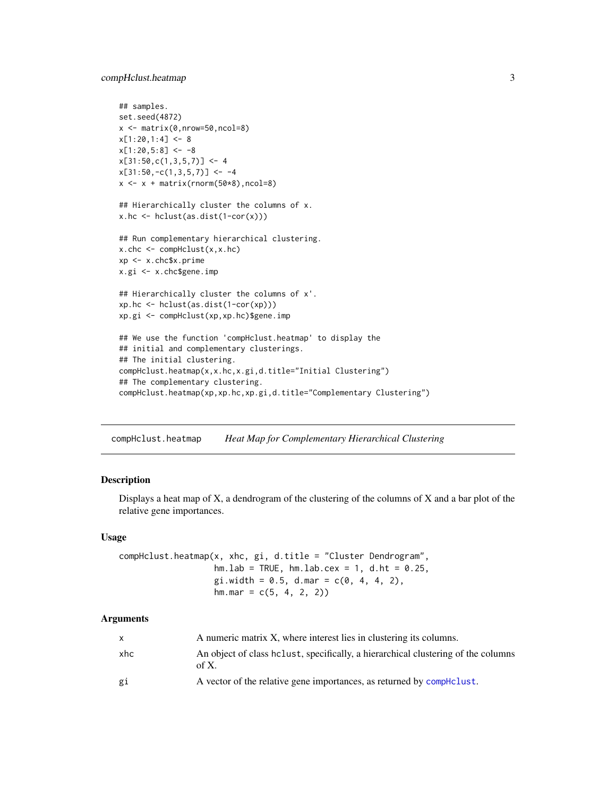#### <span id="page-2-0"></span>compHclust.heatmap 3

```
## samples.
set.seed(4872)
x <- matrix(0,nrow=50,ncol=8)
x[1:20, 1:4] < -8x[1:20,5:8] < -8x[31:50, c(1,3,5,7)] \leftarrow 4x[31:50,-c(1,3,5,7)] \leftarrow -4x \leftarrow x + \text{matrix}(rnorm(50*8), ncol=8)## Hierarchically cluster the columns of x.
x.hc \leftarrow \text{hclust}(as.dist(1-cor(x)))## Run complementary hierarchical clustering.
x.\text{chc} \leq -\text{complclust}(x, x.\text{hc})xp <- x.chc$x.prime
x.gi <- x.chc$gene.imp
## Hierarchically cluster the columns of x'.
xp.hc <- hclust(as.dist(1-cor(xp)))
xp.gi <- compHclust(xp,xp.hc)$gene.imp
## We use the function 'compHclust.heatmap' to display the
## initial and complementary clusterings.
## The initial clustering.
compHclust.heatmap(x,x.hc,x.gi,d.title="Initial Clustering")
## The complementary clustering.
compHclust.heatmap(xp,xp.hc,xp.gi,d.title="Complementary Clustering")
```
compHclust.heatmap *Heat Map for Complementary Hierarchical Clustering*

#### Description

Displays a heat map of  $X$ , a dendrogram of the clustering of the columns of  $X$  and a bar plot of the relative gene importances.

#### Usage

```
compHclust.heatmap(x, xhc, gi, d.title = "Cluster Dendrogram",
                   hm.lab = TRUE, hm.lab.cex = 1, d.ht = 0.25,
                   gi. width = 0.5, d. max = c(0, 4, 4, 2),hm.max = c(5, 4, 2, 2)
```
#### Arguments

| X   | A numeric matrix X, where interest lies in clustering its columns.                         |
|-----|--------------------------------------------------------------------------------------------|
| xhc | An object of class helust, specifically, a hierarchical clustering of the columns<br>of X. |
| gi  | A vector of the relative gene importances, as returned by compHclust.                      |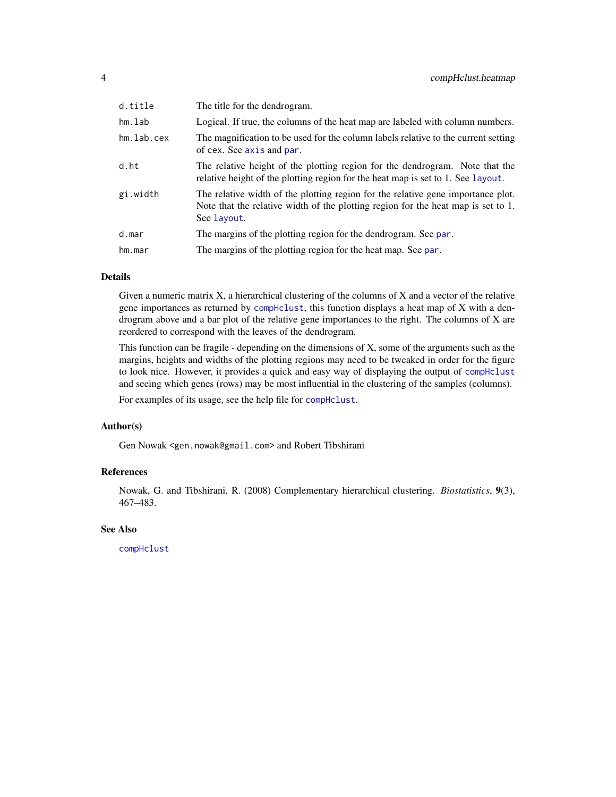<span id="page-3-0"></span>

| d.title    | The title for the dendrogram.                                                                                                                                                        |
|------------|--------------------------------------------------------------------------------------------------------------------------------------------------------------------------------------|
| hm.lab     | Logical. If true, the columns of the heat map are labeled with column numbers.                                                                                                       |
| hm.lab.cex | The magnification to be used for the column labels relative to the current setting<br>of cex. See axis and par.                                                                      |
| d.ht       | The relative height of the plotting region for the dendrogram. Note that the<br>relative height of the plotting region for the heat map is set to 1. See layout.                     |
| gi.width   | The relative width of the plotting region for the relative gene importance plot.<br>Note that the relative width of the plotting region for the heat map is set to 1.<br>See layout. |
| d.mar      | The margins of the plotting region for the dendrogram. See par.                                                                                                                      |
| hm.mar     | The margins of the plotting region for the heat map. See par.                                                                                                                        |
|            |                                                                                                                                                                                      |

#### Details

Given a numeric matrix X, a hierarchical clustering of the columns of X and a vector of the relative gene importances as returned by [compHclust](#page-0-2), this function displays a heat map of X with a dendrogram above and a bar plot of the relative gene importances to the right. The columns of X are reordered to correspond with the leaves of the dendrogram.

This function can be fragile - depending on the dimensions of X, some of the arguments such as the margins, heights and widths of the plotting regions may need to be tweaked in order for the figure to look nice. However, it provides a quick and easy way of displaying the output of [compHclust](#page-0-2) and seeing which genes (rows) may be most influential in the clustering of the samples (columns).

For examples of its usage, see the help file for [compHclust](#page-0-2).

#### Author(s)

Gen Nowak <gen.nowak@gmail.com> and Robert Tibshirani

#### References

Nowak, G. and Tibshirani, R. (2008) Complementary hierarchical clustering. *Biostatistics*, 9(3), 467–483.

#### See Also

[compHclust](#page-0-2)